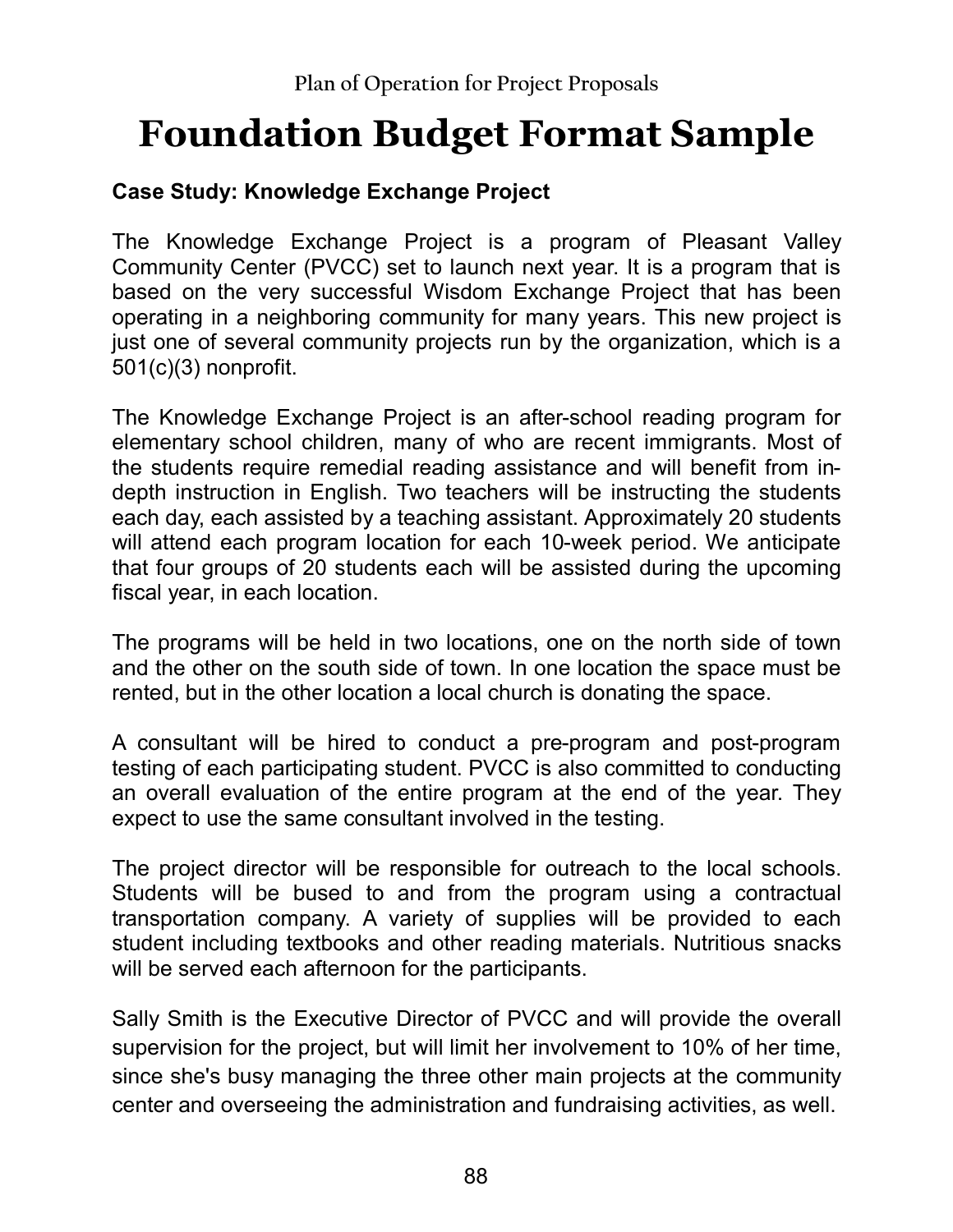## **Foundation Budget Format Sample**

## **Case Study: Knowledge Exchange Project**

The Knowledge Exchange Project is a program of Pleasant Valley Community Center (PVCC) set to launch next year. It is a program that is based on the very successful Wisdom Exchange Project that has been operating in a neighboring community for many years. This new project is just one of several community projects run by the organization, which is a 501(c)(3) nonprofit.

The Knowledge Exchange Project is an after-school reading program for elementary school children, many of who are recent immigrants. Most of the students require remedial reading assistance and will benefit from indepth instruction in English. Two teachers will be instructing the students each day, each assisted by a teaching assistant. Approximately 20 students will attend each program location for each 10-week period. We anticipate that four groups of 20 students each will be assisted during the upcoming fiscal year, in each location.

The programs will be held in two locations, one on the north side of town and the other on the south side of town. In one location the space must be rented, but in the other location a local church is donating the space.

A consultant will be hired to conduct a pre-program and post-program testing of each participating student. PVCC is also committed to conducting an overall evaluation of the entire program at the end of the year. They expect to use the same consultant involved in the testing.

The project director will be responsible for outreach to the local schools. Students will be bused to and from the program using a contractual transportation company. A variety of supplies will be provided to each student including textbooks and other reading materials. Nutritious snacks will be served each afternoon for the participants.

Sally Smith is the Executive Director of PVCC and will provide the overall supervision for the project, but will limit her involvement to 10% of her time, since she's busy managing the three other main projects at the community center and overseeing the administration and fundraising activities, as well.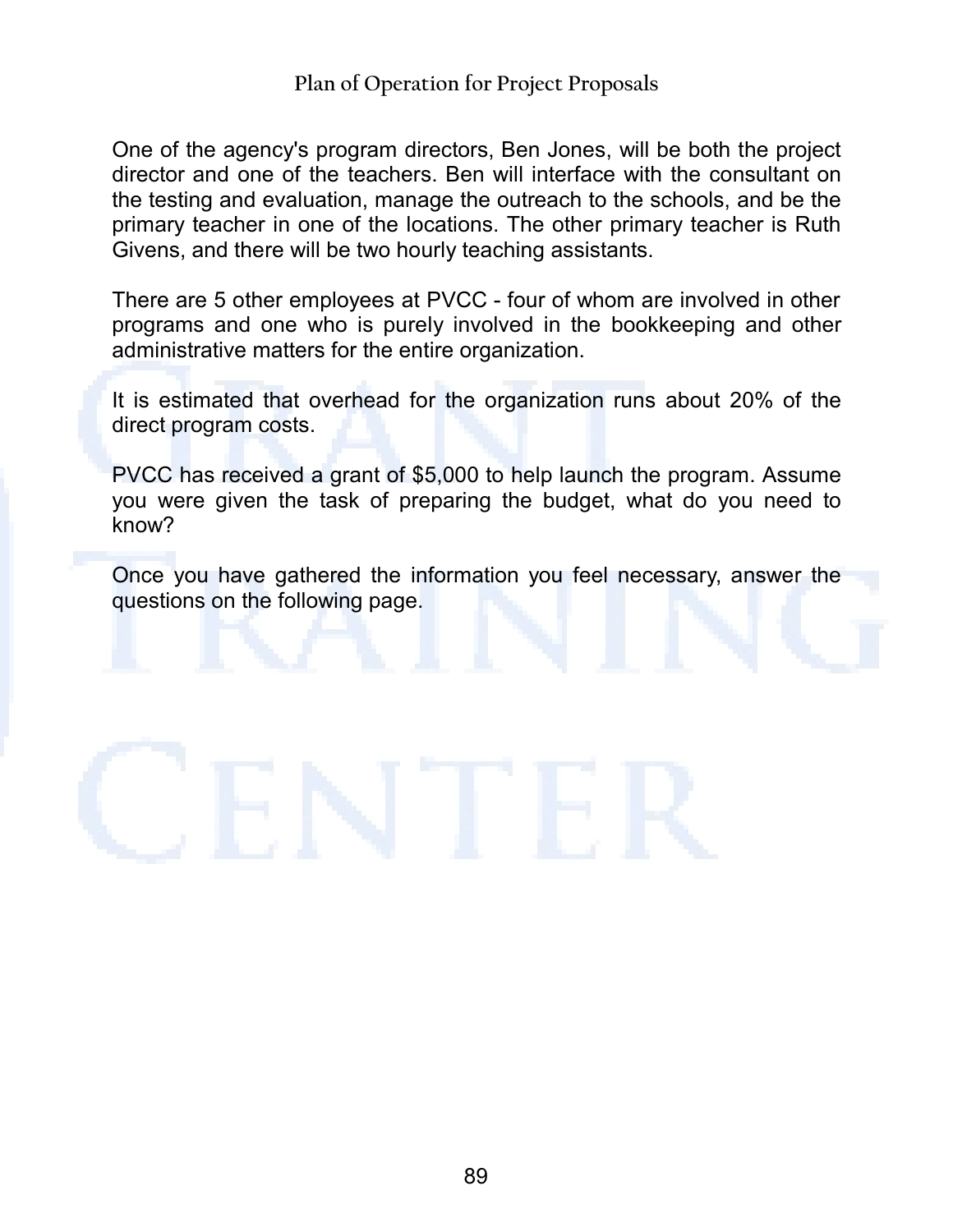One of the agency's program directors, Ben Jones, will be both the project director and one of the teachers. Ben will interface with the consultant on the testing and evaluation, manage the outreach to the schools, and be the primary teacher in one of the locations. The other primary teacher is Ruth Givens, and there will be two hourly teaching assistants.

There are 5 other employees at PVCC - four of whom are involved in other programs and one who is purely involved in the bookkeeping and other administrative matters for the entire organization.

It is estimated that overhead for the organization runs about 20% of the direct program costs.

PVCC has received a grant of \$5,000 to help launch the program. Assume you were given the task of preparing the budget, what do you need to know?

Once you have gathered the information you feel necessary, answer the questions on the following page.